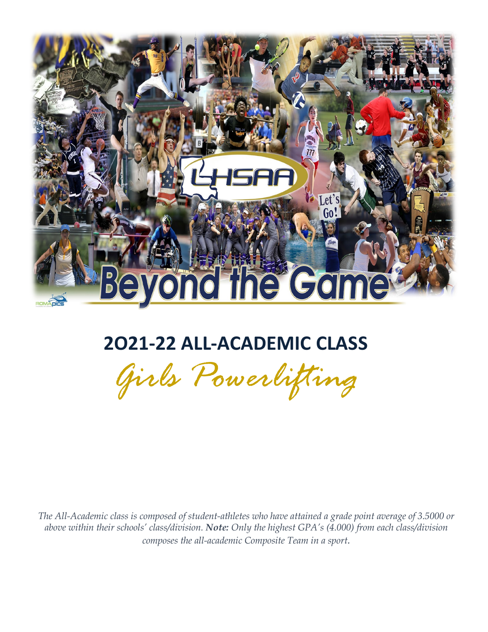

## **2O21-22 ALL-ACADEMIC CLASS**

*Girls Powerlifting*

 *The All-Academic class is composed of student-athletes who have attained a grade point average of 3.5000 or above within their schools' class/division. Note: Only the highest GPA's (4.000) from each class/division composes the all-academic Composite Team in a sport.*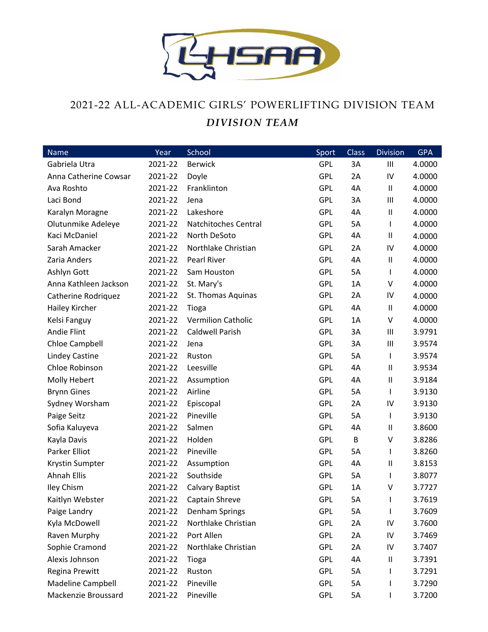

## 2021-22 ALL-ACADEMIC GIRLS' POWERLIFTING DIVISION TEAM *DIVISION TEAM*

| <b>Name</b>           | Year    | School                    | Sport      | Class | <b>Division</b> | <b>GPA</b> |
|-----------------------|---------|---------------------------|------------|-------|-----------------|------------|
| Gabriela Utra         | 2021-22 | <b>Berwick</b>            | GPL        | 3A    | Ш               | 4.0000     |
| Anna Catherine Cowsar | 2021-22 | Doyle                     | <b>GPL</b> | 2A    | IV              | 4.0000     |
| Ava Roshto            | 2021-22 | Franklinton               | <b>GPL</b> | 4A    | $\mathbf{H}$    | 4.0000     |
| Laci Bond             | 2021-22 | Jena                      | <b>GPL</b> | 3A    | Ш               | 4.0000     |
| Karalyn Moragne       | 2021-22 | Lakeshore                 | <b>GPL</b> | 4A    | $\sf II$        | 4.0000     |
| Olutunmike Adeleye    | 2021-22 | Natchitoches Central      | <b>GPL</b> | 5A    | $\mathsf{I}$    | 4.0000     |
| Kaci McDaniel         | 2021-22 | North DeSoto              | <b>GPL</b> | 4A    | $\mathsf{I}$    | 4.0000     |
| Sarah Amacker         | 2021-22 | Northlake Christian       | <b>GPL</b> | 2A    | IV              | 4.0000     |
| Zaria Anders          | 2021-22 | Pearl River               | <b>GPL</b> | 4A    | $\sf II$        | 4.0000     |
| Ashlyn Gott           | 2021-22 | Sam Houston               | <b>GPL</b> | 5A    | L               | 4.0000     |
| Anna Kathleen Jackson | 2021-22 | St. Mary's                | <b>GPL</b> | 1A    | V               | 4.0000     |
| Catherine Rodriquez   | 2021-22 | St. Thomas Aquinas        | <b>GPL</b> | 2A    | IV              | 4.0000     |
| Hailey Kircher        | 2021-22 | Tioga                     | <b>GPL</b> | 4A    | $\mathbf{H}$    | 4.0000     |
| Kelsi Fanguy          | 2021-22 | <b>Vermilion Catholic</b> | <b>GPL</b> | 1A    | V               | 4.0000     |
| Andie Flint           | 2021-22 | <b>Caldwell Parish</b>    | <b>GPL</b> | 3A    | Ш               | 3.9791     |
| Chloe Campbell        | 2021-22 | Jena                      | <b>GPL</b> | 3A    | Ш               | 3.9574     |
| <b>Lindey Castine</b> | 2021-22 | Ruston                    | <b>GPL</b> | 5A    | $\mathsf{I}$    | 3.9574     |
| Chloe Robinson        | 2021-22 | Leesville                 | <b>GPL</b> | 4A    | $\sf II$        | 3.9534     |
| Molly Hebert          | 2021-22 | Assumption                | <b>GPL</b> | 4A    | $\mathbf{H}$    | 3.9184     |
| <b>Brynn Gines</b>    | 2021-22 | Airline                   | <b>GPL</b> | 5A    | $\mathsf{I}$    | 3.9130     |
| Sydney Worsham        | 2021-22 | Episcopal                 | <b>GPL</b> | 2A    | IV              | 3.9130     |
| Paige Seitz           | 2021-22 | Pineville                 | <b>GPL</b> | 5A    | L               | 3.9130     |
| Sofia Kaluyeva        | 2021-22 | Salmen                    | <b>GPL</b> | 4A    | Ш               | 3.8600     |
| Kayla Davis           | 2021-22 | Holden                    | <b>GPL</b> | B     | $\vee$          | 3.8286     |
| Parker Elliot         | 2021-22 | Pineville                 | <b>GPL</b> | 5A    | $\mathsf{I}$    | 3.8260     |
| Krystin Sumpter       | 2021-22 | Assumption                | <b>GPL</b> | 4A    | $\sf II$        | 3.8153     |
| <b>Ahnah Ellis</b>    | 2021-22 | Southside                 | <b>GPL</b> | 5A    | L               | 3.8077     |
| <b>Iley Chism</b>     | 2021-22 | <b>Calvary Baptist</b>    | <b>GPL</b> | 1A    | V               | 3.7727     |
| Kaitlyn Webster       | 2021-22 | Captain Shreve            | GPL        | 5A    |                 | 3.7619     |
| Paige Landry          | 2021-22 | Denham Springs            | <b>GPL</b> | 5A    | L               | 3.7609     |
| Kyla McDowell         | 2021-22 | Northlake Christian       | <b>GPL</b> | 2A    | IV              | 3.7600     |
| Raven Murphy          | 2021-22 | Port Allen                | <b>GPL</b> | 2A    | IV              | 3.7469     |
| Sophie Cramond        | 2021-22 | Northlake Christian       | <b>GPL</b> | 2A    | IV              | 3.7407     |
| Alexis Johnson        | 2021-22 | Tioga                     | <b>GPL</b> | 4A    | $\sf II$        | 3.7391     |
| Regina Prewitt        | 2021-22 | Ruston                    | <b>GPL</b> | 5A    | L               | 3.7291     |
| Madeline Campbell     | 2021-22 | Pineville                 | <b>GPL</b> | 5A    |                 | 3.7290     |
| Mackenzie Broussard   | 2021-22 | Pineville                 | <b>GPL</b> | 5A    | L               | 3.7200     |